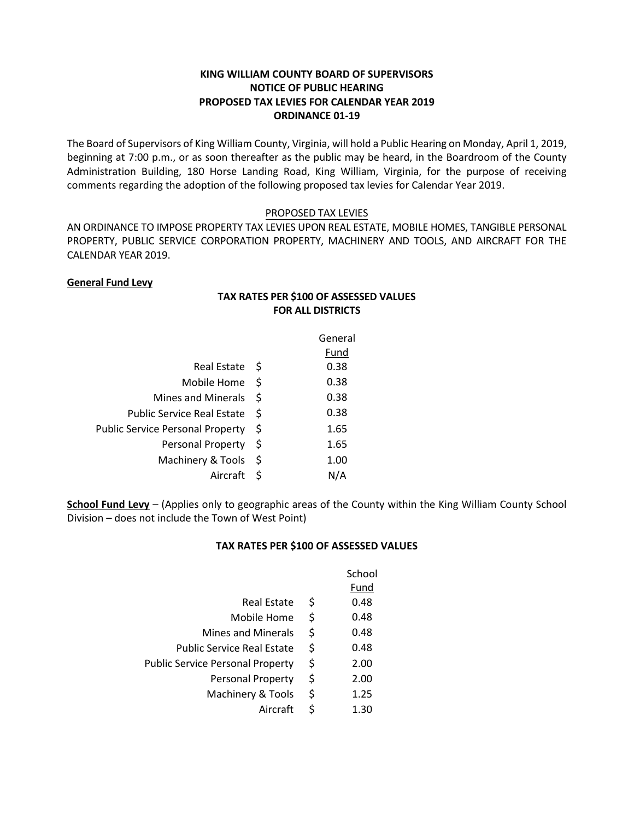# **KING WILLIAM COUNTY BOARD OF SUPERVISORS NOTICE OF PUBLIC HEARING PROPOSED TAX LEVIES FOR CALENDAR YEAR 2019 ORDINANCE 01-19**

The Board of Supervisors of King William County, Virginia, will hold a Public Hearing on Monday, April 1, 2019, beginning at 7:00 p.m., or as soon thereafter as the public may be heard, in the Boardroom of the County Administration Building, 180 Horse Landing Road, King William, Virginia, for the purpose of receiving comments regarding the adoption of the following proposed tax levies for Calendar Year 2019.

## PROPOSED TAX LEVIES

AN ORDINANCE TO IMPOSE PROPERTY TAX LEVIES UPON REAL ESTATE, MOBILE HOMES, TANGIBLE PERSONAL PROPERTY, PUBLIC SERVICE CORPORATION PROPERTY, MACHINERY AND TOOLS, AND AIRCRAFT FOR THE CALENDAR YEAR 2019.

> **TAX RATES PER \$100 OF ASSESSED VALUES FOR ALL DISTRICTS**

## **General Fund Levy**

|                                         |      | General |
|-----------------------------------------|------|---------|
|                                         |      | Fund    |
| Real Estate S                           |      | 0.38    |
| Mobile Home                             | \$   | 0.38    |
| <b>Mines and Minerals</b>               | -S   | 0.38    |
| <b>Public Service Real Estate</b>       | S    | 0.38    |
| <b>Public Service Personal Property</b> | S    | 1.65    |
| Personal Property                       | - \$ | 1.65    |
| Machinery & Tools                       | S    | 1.00    |
| Aircraft                                | Ŝ    |         |

**School Fund Levy** – (Applies only to geographic areas of the County within the King William County School Division – does not include the Town of West Point)

#### **TAX RATES PER \$100 OF ASSESSED VALUES**

|                                         |    | School |
|-----------------------------------------|----|--------|
|                                         |    | Fund   |
| <b>Real Estate</b>                      | S  | 0.48   |
| Mobile Home                             | \$ | 0.48   |
| <b>Mines and Minerals</b>               | \$ | 0.48   |
| <b>Public Service Real Estate</b>       | \$ | 0.48   |
| <b>Public Service Personal Property</b> | \$ | 2.00   |
| <b>Personal Property</b>                | \$ | 2.00   |
| Machinery & Tools                       | \$ | 1.25   |
| Aircraft                                |    | 1.30   |